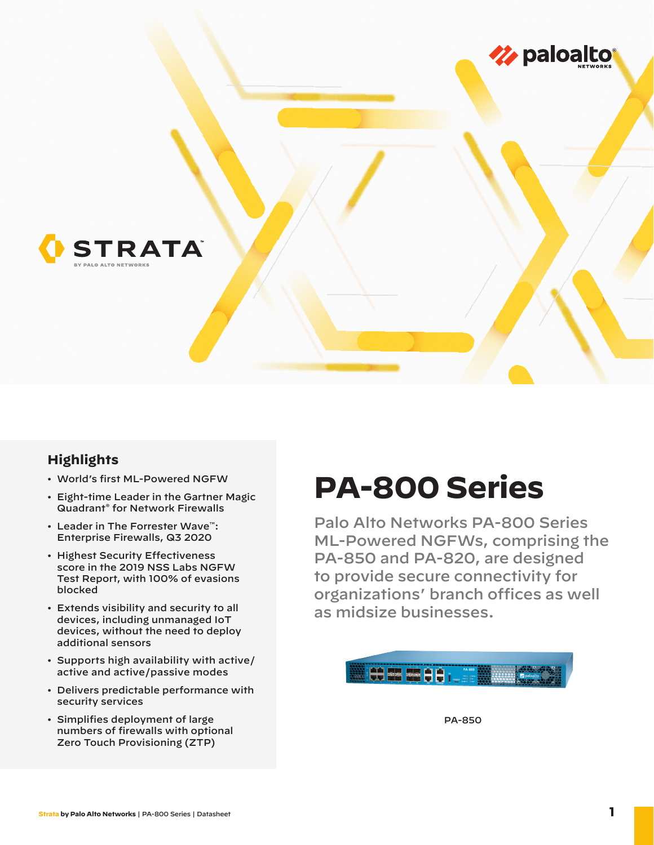

## **Highlights**

- World's first ML-Powered NGFW
- Eight-time Leader in the Gartner Magic Quadrant® for Network Firewalls
- Leader in The Forrester Wave™: Enterprise Firewalls, Q3 2020
- Highest Security Effectiveness score in the 2019 NSS Labs NGFW Test Report, with 100% of evasions blocked
- Extends visibility and security to all devices, including unmanaged IoT devices, without the need to deploy additional sensors
- Supports high availability with active/ active and active/passive modes
- Delivers predictable performance with security services
- Simplifies deployment of large numbers of firewalls with optional Zero Touch Provisioning (ZTP)

# **PA-800 Series**

Palo Alto Networks PA-800 Series ML-Powered NGFWs, comprising the PA-850 and PA-820, are designed to provide secure connectivity for organizations' branch offices as well as midsize businesses.



PA-850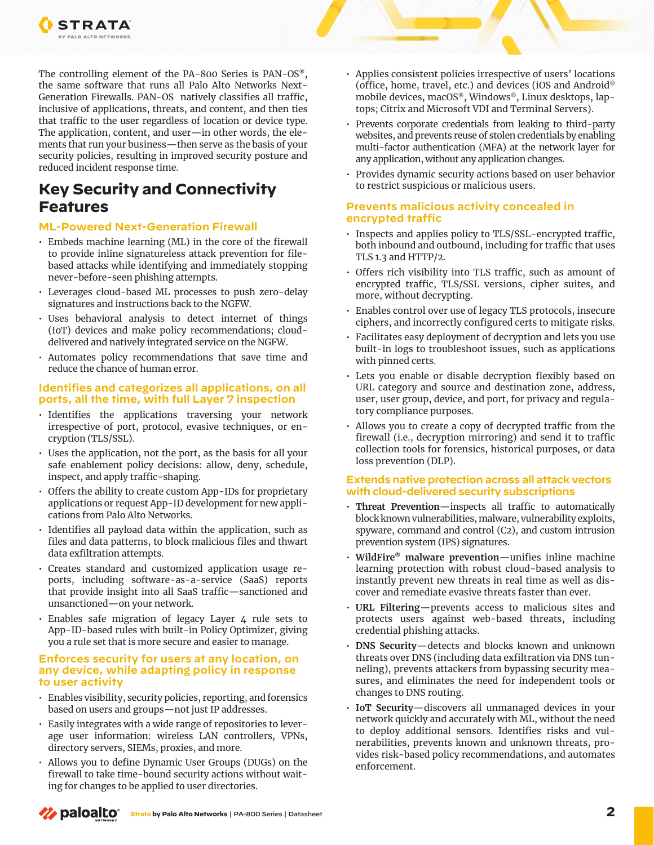

The controlling element of the PA-800 Series is PAN-OS®, the same software that runs all Palo Alto Networks Next-Generation Firewalls. PAN-OS natively classifies all traffic, inclusive of applications, threats, and content, and then ties that traffic to the user regardless of location or device type. The application, content, and user—in other words, the elements that run your business—then serve as the basis of your security policies, resulting in improved security posture and reduced incident response time.

# **Key Security and Connectivity Features**

#### **ML-Powered Next-Generation Firewall**

- Embeds machine learning (ML) in the core of the firewall to provide inline signatureless attack prevention for filebased attacks while identifying and immediately stopping never-before-seen phishing attempts.
- Leverages cloud-based ML processes to push zero-delay signatures and instructions back to the NGFW.
- Uses behavioral analysis to detect internet of things (IoT) devices and make policy recommendations; clouddelivered and natively integrated service on the NGFW.
- Automates policy recommendations that save time and reduce the chance of human error.

#### **Identifies and categorizes all applications, on all ports, all the time, with full Layer 7 inspection**

- Identifies the applications traversing your network irrespective of port, protocol, evasive techniques, or encryption (TLS/SSL).
- Uses the application, not the port, as the basis for all your safe enablement policy decisions: allow, deny, schedule, inspect, and apply traffic-shaping.
- Offers the ability to create custom App-IDs for proprietary applications or request App-ID development for new applications from Palo Alto Networks.
- Identifies all payload data within the application, such as files and data patterns, to block malicious files and thwart data exfiltration attempts.
- Creates standard and customized application usage reports, including software-as-a-service (SaaS) reports that provide insight into all SaaS traffic—sanctioned and unsanctioned—on your network.
- Enables safe migration of legacy Layer 4 rule sets to App-ID-based rules with built-in Policy Optimizer, giving you a rule set that is more secure and easier to manage.

#### **Enforces security for users at any location, on any device, while adapting policy in response to user activity**

- Enables visibility, security policies, reporting, and forensics based on users and groups—not just IP addresses.
- Easily integrates with a wide range of repositories to leverage user information: wireless LAN controllers, VPNs, directory servers, SIEMs, proxies, and more.
- Allows you to define Dynamic User Groups (DUGs) on the firewall to take time-bound security actions without waiting for changes to be applied to user directories.
- Applies consistent policies irrespective of users' locations (office, home, travel, etc.) and devices (iOS and Android® mobile devices, macOS®, Windows®, Linux desktops, laptops; Citrix and Microsoft VDI and Terminal Servers).
- Prevents corporate credentials from leaking to third-party websites, and prevents reuse of stolen credentials by enabling multi-factor authentication (MFA) at the network layer for any application, without any application changes.
- Provides dynamic security actions based on user behavior to restrict suspicious or malicious users.

#### **Prevents malicious activity concealed in encrypted traffic**

- Inspects and applies policy to TLS/SSL-encrypted traffic, both inbound and outbound, including for traffic that uses TLS 1.3 and HTTP/2.
- Offers rich visibility into TLS traffic, such as amount of encrypted traffic, TLS/SSL versions, cipher suites, and more, without decrypting.
- Enables control over use of legacy TLS protocols, insecure ciphers, and incorrectly configured certs to mitigate risks.
- Facilitates easy deployment of decryption and lets you use built-in logs to troubleshoot issues, such as applications with pinned certs.
- Lets you enable or disable decryption flexibly based on URL category and source and destination zone, address, user, user group, device, and port, for privacy and regulatory compliance purposes.
- Allows you to create a copy of decrypted traffic from the firewall (i.e., decryption mirroring) and send it to traffic collection tools for forensics, historical purposes, or data loss prevention (DLP).

#### **Extends native protection across all attack vectors with cloud-delivered security subscriptions**

- **Threat Prevention**—inspects all traffic to automatically block known vulnerabilities, malware, vulnerability exploits, spyware, command and control (C2), and custom intrusion prevention system (IPS) signatures.
- **WildFire® malware prevention**—unifies inline machine learning protection with robust cloud-based analysis to instantly prevent new threats in real time as well as discover and remediate evasive threats faster than ever.
- **URL Filtering**—prevents access to malicious sites and protects users against web-based threats, including credential phishing attacks.
- **DNS Security**—detects and blocks known and unknown threats over DNS (including data exfiltration via DNS tunneling), prevents attackers from bypassing security measures, and eliminates the need for independent tools or changes to DNS routing.
- **IoT Security**—discovers all unmanaged devices in your network quickly and accurately with ML, without the need to deploy additional sensors. Identifies risks and vulnerabilities, prevents known and unknown threats, provides risk-based policy recommendations, and automates enforcement.

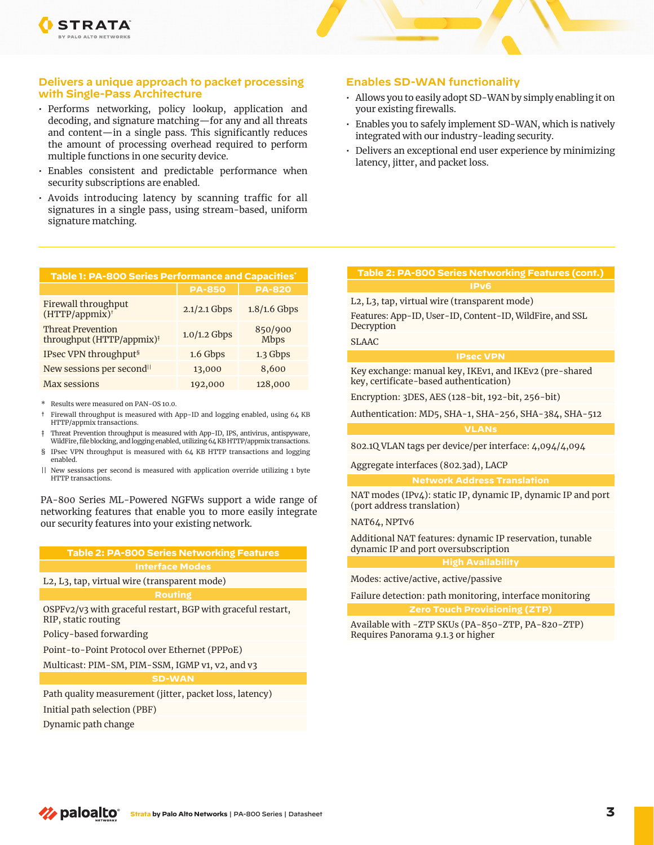#### **Delivers a unique approach to packet processing with Single-Pass Architecture**

- Performs networking, policy lookup, application and decoding, and signature matching—for any and all threats and content—in a single pass. This significantly reduces the amount of processing overhead required to perform multiple functions in one security device.
- Enables consistent and predictable performance when security subscriptions are enabled.
- Avoids introducing latency by scanning traffic for all signatures in a single pass, using stream-based, uniform signature matching.

| Table 1: PA-800 Series Performance and Capacities'                |                |                        |
|-------------------------------------------------------------------|----------------|------------------------|
|                                                                   | <b>PA-850</b>  | <b>PA-820</b>          |
| Firewall throughput<br>(HTTP/appmix)†                             | $2.1/2.1$ Gbps | $1.8/1.6$ Gbps         |
| <b>Threat Prevention</b><br>throughput (HTTP/appmix) <sup>†</sup> | $1.0/1.2$ Gbps | 850/900<br><b>Mbps</b> |
| IPsec VPN throughput <sup>§</sup>                                 | 1.6 Gbps       | 1.3 Gbps               |
| New sessions per second <sup>11</sup>                             | 13,000         | 8,600                  |
| <b>Max sessions</b>                                               | 192,000        | 128,000                |

\* Results were measured on PAN-OS 10.0.

- † Firewall throughput is measured with App-ID and logging enabled, using 64 KB HTTP/appmix transactions.
- ‡ Threat Prevention throughput is measured with App-ID, IPS, antivirus, antispyware, WildFire, file blocking, and logging enabled, utilizing 64 KB HTTP/appmix transactions.
- § IPsec VPN throughput is measured with 64 KB HTTP transactions and logging enabled.
- || New sessions per second is measured with application override utilizing 1 byte HTTP transactions.

PA-800 Series ML-Powered NGFWs support a wide range of networking features that enable you to more easily integrate our security features into your existing network.

### **Table 2: PA-800 Series Networking Features**

#### **Interface Modes**

L2, L3, tap, virtual wire (transparent mode)

OSPFv2/v3 with graceful restart, BGP with graceful restart, RIP, static routing

Policy-based forwarding

Point-to-Point Protocol over Ethernet (PPPoE)

Multicast: PIM-SM, PIM-SSM, IGMP v1, v2, and v3

Path quality measurement (jitter, packet loss, latency)

Initial path selection (PBF)

Dynamic path change

#### **Enables SD-WAN functionality**

- Allows you to easily adopt SD-WAN by simply enabling it on your existing firewalls.
- Enables you to safely implement SD-WAN, which is natively integrated with our industry-leading security.
- Delivers an exceptional end user experience by minimizing latency, jitter, and packet loss.

# **Table 2: PA-800 Series Networking Features (cont.)**

L2, L3, tap, virtual wire (transparent mode)

Features: App-ID, User-ID, Content-ID, WildFire, and SSL Decryption

SLAAC

#### **IPsec VPN**

Key exchange: manual key, IKEv1, and IKEv2 (pre-shared key, certificate-based authentication)

Encryption: 3DES, AES (128-bit, 192-bit, 256-bit)

Authentication: MD5, SHA-1, SHA-256, SHA-384, SHA-512

#### **VLANs**

802.1Q VLAN tags per device/per interface: 4,094/4,094

Aggregate interfaces (802.3ad), LACP

#### **Network Address Translation**

NAT modes (IPv4): static IP, dynamic IP, dynamic IP and port (port address translation)

**High Availability**

#### NAT64, NPTv6

Additional NAT features: dynamic IP reservation, tunable dynamic IP and port oversubscription

Modes: active/active, active/passive

Failure detection: path monitoring, interface monitoring

**Zero Touch Provisioning (ZTP)**

Available with -ZTP SKUs (PA-850-ZTP, PA-820-ZTP) Requires Panorama 9.1.3 or higher